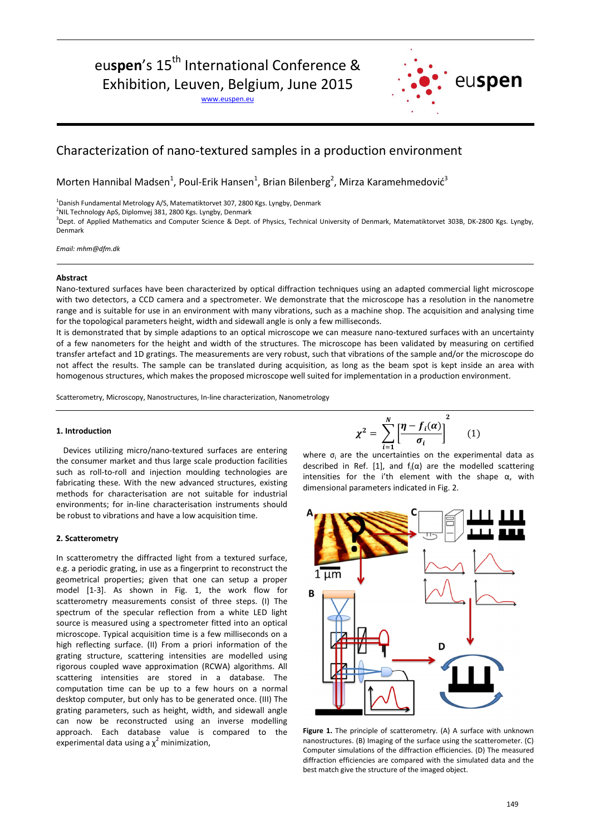# euspen's 15<sup>th</sup> International Conference &

Exhibition, Leuven, Belgium, June 2015

www.euspen.eu



# Characterization of nano-textured samples in a production environment

Morten Hannibal Madsen<sup>1</sup>, Poul-Erik Hansen<sup>1</sup>, Brian Bilenberg<sup>2</sup>, Mirza Karamehmedović<sup>3</sup>

<sup>1</sup>Danish Fundamental Metrology A/S, Matematiktorvet 307, 2800 Kgs. Lyngby, Denmark

 $^{2}$ NIL Technology ApS, Diplomvej 381, 2800 Kgs. Lyngby, Denmark

<sup>3</sup>Dept. of Applied Mathematics and Computer Science & Dept. of Physics, Technical University of Denmark, Matematiktorvet 303B, DK-2800 Kgs. Lyngby, Denmark

*Email: mhm@dfm.dk*

## **Abstract**

Nano-textured surfaces have been characterized by optical diffraction techniques using an adapted commercial light microscope with two detectors, a CCD camera and a spectrometer. We demonstrate that the microscope has a resolution in the nanometre range and is suitable for use in an environment with many vibrations, such as a machine shop. The acquisition and analysing time for the topological parameters height, width and sidewall angle is only a few milliseconds.

It is demonstrated that by simple adaptions to an optical microscope we can measure nano-textured surfaces with an uncertainty of a few nanometers for the height and width of the structures. The microscope has been validated by measuring on certified transfer artefact and 1D gratings. The measurements are very robust, such that vibrations of the sample and/or the microscope do not affect the results. The sample can be translated during acquisition, as long as the beam spot is kept inside an area with homogenous structures, which makes the proposed microscope well suited for implementation in a production environment.

Scatterometry, Microscopy, Nanostructures, In-line characterization, Nanometrology

### **1. Introduction**

Devices utilizing micro/nano-textured surfaces are entering the consumer market and thus large scale production facilities such as roll-to-roll and injection moulding technologies are fabricating these. With the new advanced structures, existing methods for characterisation are not suitable for industrial environments; for in-line characterisation instruments should be robust to vibrations and have a low acquisition time.

#### **2. Scatterometry**

In scatterometry the diffracted light from a textured surface, e.g. a periodic grating, in use as a fingerprint to reconstruct the geometrical properties; given that one can setup a proper model [1-3]. As shown in Fig. 1, the work flow for scatterometry measurements consist of three steps. (I) The spectrum of the specular reflection from a white LED light source is measured using a spectrometer fitted into an optical microscope. Typical acquisition time is a few milliseconds on a high reflecting surface. (II) From a priori information of the grating structure, scattering intensities are modelled using rigorous coupled wave approximation (RCWA) algorithms. All scattering intensities are stored in a database. The computation time can be up to a few hours on a normal desktop computer, but only has to be generated once. (III) The grating parameters, such as height, width, and sidewall angle can now be reconstructed using an inverse modelling approach. Each database value is compared to the experimental data using a  $\chi^2$  minimization,

$$
\chi^2 = \sum_{i=1}^N \left[ \frac{\eta - f_i(\alpha)}{\sigma_i} \right]^2 \qquad (1)
$$

 $i=1$ <br>where  $\sigma_i$  are the uncertainties on the experimental data as described in Ref. [1], and  $f_i(\alpha)$  are the modelled scattering intensities for the i'th element with the shape  $α$ , with dimensional parameters indicated in Fig. 2.



**Figure 1.** The principle of scatterometry. (A) A surface with unknown nanostructures. (B) Imaging of the surface using the scatterometer. (C) Computer simulations of the diffraction efficiencies. (D) The measured diffraction efficiencies are compared with the simulated data and the best match give the structure of the imaged object.